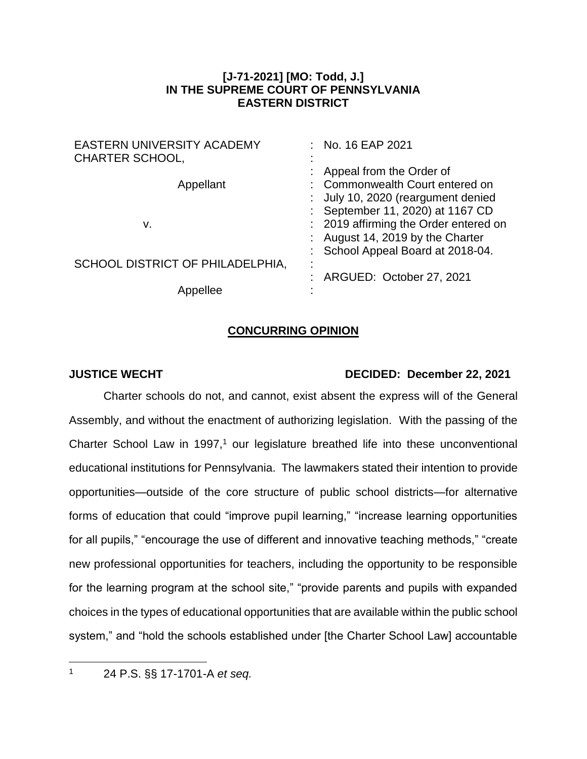## **[J-71-2021] [MO: Todd, J.] IN THE SUPREME COURT OF PENNSYLVANIA EASTERN DISTRICT**

| <b>EASTERN UNIVERSITY ACADEMY</b><br><b>CHARTER SCHOOL,</b> | : No. 16 EAP 2021                                                                                                                                |
|-------------------------------------------------------------|--------------------------------------------------------------------------------------------------------------------------------------------------|
| Appellant                                                   | : Appeal from the Order of<br>: Commonwealth Court entered on<br>: July 10, 2020 (reargument denied                                              |
| v.                                                          | : September 11, 2020) at 1167 CD<br>: 2019 affirming the Order entered on<br>: August 14, 2019 by the Charter<br>School Appeal Board at 2018-04. |
| SCHOOL DISTRICT OF PHILADELPHIA,                            | : ARGUED: October 27, 2021                                                                                                                       |
| Appellee                                                    |                                                                                                                                                  |

## **CONCURRING OPINION**

## **JUSTICE WECHT DECIDED: December 22, 2021**

Charter schools do not, and cannot, exist absent the express will of the General Assembly, and without the enactment of authorizing legislation. With the passing of the Charter School Law in 1997, $1$  our legislature breathed life into these unconventional educational institutions for Pennsylvania. The lawmakers stated their intention to provide opportunities—outside of the core structure of public school districts—for alternative forms of education that could "improve pupil learning," "increase learning opportunities for all pupils," "encourage the use of different and innovative teaching methods," "create new professional opportunities for teachers, including the opportunity to be responsible for the learning program at the school site," "provide parents and pupils with expanded choices in the types of educational opportunities that are available within the public school system," and "hold the schools established under [the Charter School Law] accountable

<sup>1</sup> 24 P.S. §§ 17-1701-A *et seq.*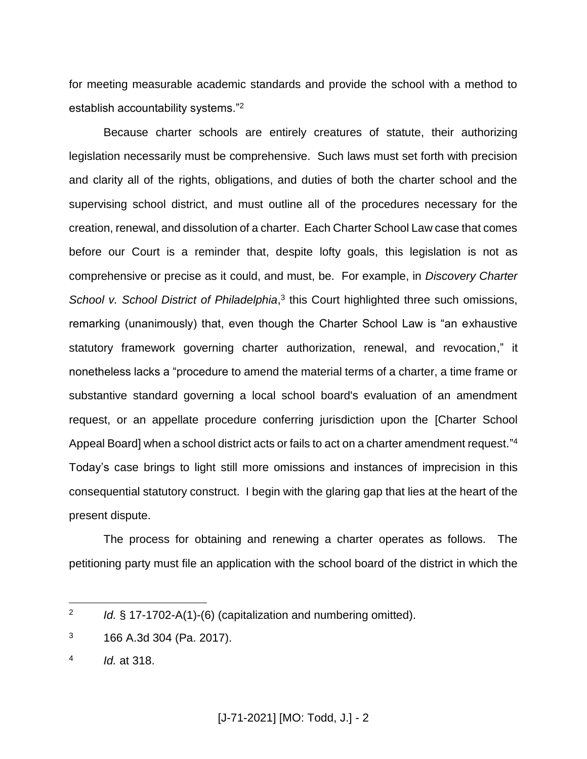for meeting measurable academic standards and provide the school with a method to establish accountability systems."<sup>2</sup>

Because charter schools are entirely creatures of statute, their authorizing legislation necessarily must be comprehensive. Such laws must set forth with precision and clarity all of the rights, obligations, and duties of both the charter school and the supervising school district, and must outline all of the procedures necessary for the creation, renewal, and dissolution of a charter. Each Charter School Law case that comes before our Court is a reminder that, despite lofty goals, this legislation is not as comprehensive or precise as it could, and must, be. For example, in *Discovery Charter*  School v. School District of Philadelphia,<sup>3</sup> this Court highlighted three such omissions, remarking (unanimously) that, even though the Charter School Law is "an exhaustive statutory framework governing charter authorization, renewal, and revocation," it nonetheless lacks a "procedure to amend the material terms of a charter, a time frame or substantive standard governing a local school board's evaluation of an amendment request, or an appellate procedure conferring jurisdiction upon the [Charter School Appeal Board] when a school district acts or fails to act on a charter amendment request."<sup>4</sup> Today's case brings to light still more omissions and instances of imprecision in this consequential statutory construct. I begin with the glaring gap that lies at the heart of the present dispute.

The process for obtaining and renewing a charter operates as follows. The petitioning party must file an application with the school board of the district in which the

<sup>2</sup> *Id.* § 17-1702-A(1)-(6) (capitalization and numbering omitted).

 $3$  166 A.3d 304 (Pa. 2017).

<sup>4</sup> *Id.* at 318.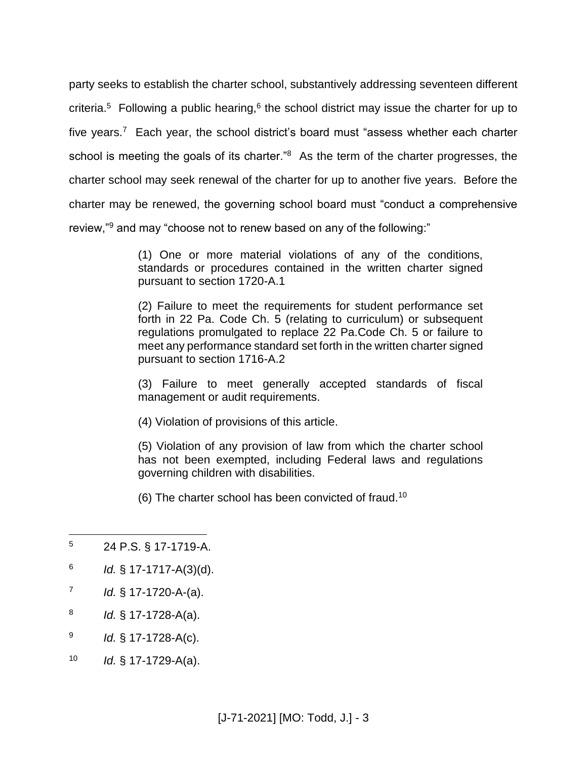party seeks to establish the charter school, substantively addressing seventeen different criteria.<sup>5</sup> Following a public hearing,  $6$  the school district may issue the charter for up to five years.<sup>7</sup> Each year, the school district's board must "assess whether each charter school is meeting the goals of its charter."<sup>8</sup> As the term of the charter progresses, the charter school may seek renewal of the charter for up to another five years. Before the charter may be renewed, the governing school board must "conduct a comprehensive review,"<sup>9</sup> and may "choose not to renew based on any of the following:"

> (1) One or more material violations of any of the conditions, standards or procedures contained in the written charter signed pursuant to section 1720-A.1

> (2) Failure to meet the requirements for student performance set forth in 22 Pa. Code Ch. 5 (relating to curriculum) or subsequent regulations promulgated to replace 22 Pa.Code Ch. 5 or failure to meet any performance standard set forth in the written charter signed pursuant to section 1716-A.2

> (3) Failure to meet generally accepted standards of fiscal management or audit requirements.

(4) Violation of provisions of this article.

(5) Violation of any provision of law from which the charter school has not been exempted, including Federal laws and regulations governing children with disabilities.

(6) The charter school has been convicted of fraud.<sup>10</sup>

- 6 *Id.* § 17-1717-A(3)(d).
- 7 *Id.* § 17-1720-A-(a).
- 8 *Id.* § 17-1728-A(a).
- 9 *Id.* § 17-1728-A(c).
- <sup>10</sup> *Id.* § 17-1729-A(a).

<sup>5</sup> 24 P.S. § 17-1719-A.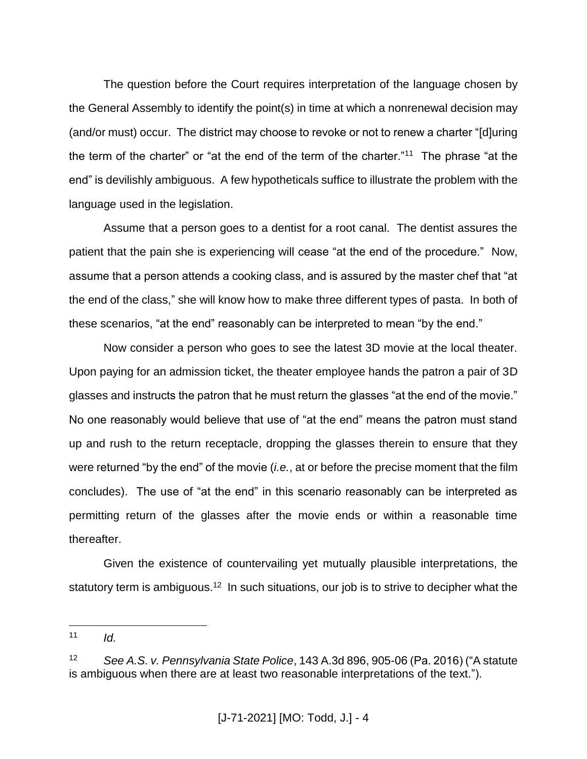The question before the Court requires interpretation of the language chosen by the General Assembly to identify the point(s) in time at which a nonrenewal decision may (and/or must) occur. The district may choose to revoke or not to renew a charter "[d]uring the term of the charter" or "at the end of the term of the charter."<sup>11</sup> The phrase "at the end" is devilishly ambiguous. A few hypotheticals suffice to illustrate the problem with the language used in the legislation.

Assume that a person goes to a dentist for a root canal. The dentist assures the patient that the pain she is experiencing will cease "at the end of the procedure." Now, assume that a person attends a cooking class, and is assured by the master chef that "at the end of the class," she will know how to make three different types of pasta. In both of these scenarios, "at the end" reasonably can be interpreted to mean "by the end."

Now consider a person who goes to see the latest 3D movie at the local theater. Upon paying for an admission ticket, the theater employee hands the patron a pair of 3D glasses and instructs the patron that he must return the glasses "at the end of the movie." No one reasonably would believe that use of "at the end" means the patron must stand up and rush to the return receptacle, dropping the glasses therein to ensure that they were returned "by the end" of the movie (*i.e.*, at or before the precise moment that the film concludes). The use of "at the end" in this scenario reasonably can be interpreted as permitting return of the glasses after the movie ends or within a reasonable time thereafter.

Given the existence of countervailing yet mutually plausible interpretations, the statutory term is ambiguous.<sup>12</sup> In such situations, our job is to strive to decipher what the

 $11$  *Id.* 

<sup>12</sup> *See A.S. v. Pennsylvania State Police*, 143 A.3d 896, 905-06 (Pa. 2016) ("A statute is ambiguous when there are at least two reasonable interpretations of the text.").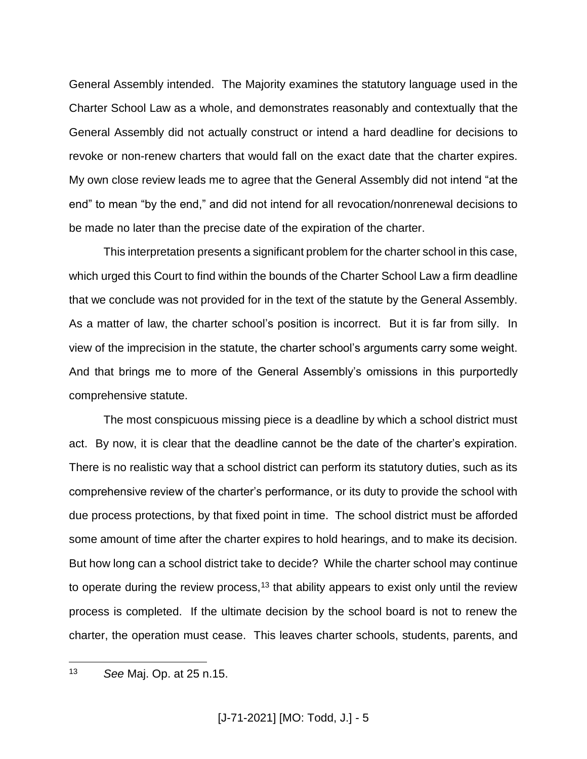General Assembly intended. The Majority examines the statutory language used in the Charter School Law as a whole, and demonstrates reasonably and contextually that the General Assembly did not actually construct or intend a hard deadline for decisions to revoke or non-renew charters that would fall on the exact date that the charter expires. My own close review leads me to agree that the General Assembly did not intend "at the end" to mean "by the end," and did not intend for all revocation/nonrenewal decisions to be made no later than the precise date of the expiration of the charter.

This interpretation presents a significant problem for the charter school in this case, which urged this Court to find within the bounds of the Charter School Law a firm deadline that we conclude was not provided for in the text of the statute by the General Assembly. As a matter of law, the charter school's position is incorrect. But it is far from silly. In view of the imprecision in the statute, the charter school's arguments carry some weight. And that brings me to more of the General Assembly's omissions in this purportedly comprehensive statute.

The most conspicuous missing piece is a deadline by which a school district must act. By now, it is clear that the deadline cannot be the date of the charter's expiration. There is no realistic way that a school district can perform its statutory duties, such as its comprehensive review of the charter's performance, or its duty to provide the school with due process protections, by that fixed point in time. The school district must be afforded some amount of time after the charter expires to hold hearings, and to make its decision. But how long can a school district take to decide? While the charter school may continue to operate during the review process,<sup>13</sup> that ability appears to exist only until the review process is completed. If the ultimate decision by the school board is not to renew the charter, the operation must cease. This leaves charter schools, students, parents, and

 $13$ <sup>13</sup> *See* Maj. Op. at 25 n.15.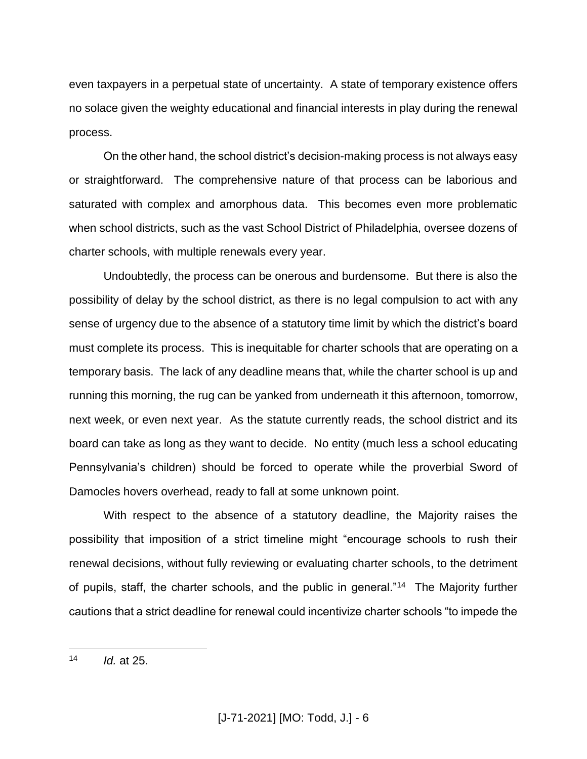even taxpayers in a perpetual state of uncertainty. A state of temporary existence offers no solace given the weighty educational and financial interests in play during the renewal process.

On the other hand, the school district's decision-making process is not always easy or straightforward. The comprehensive nature of that process can be laborious and saturated with complex and amorphous data. This becomes even more problematic when school districts, such as the vast School District of Philadelphia, oversee dozens of charter schools, with multiple renewals every year.

Undoubtedly, the process can be onerous and burdensome. But there is also the possibility of delay by the school district, as there is no legal compulsion to act with any sense of urgency due to the absence of a statutory time limit by which the district's board must complete its process. This is inequitable for charter schools that are operating on a temporary basis. The lack of any deadline means that, while the charter school is up and running this morning, the rug can be yanked from underneath it this afternoon, tomorrow, next week, or even next year. As the statute currently reads, the school district and its board can take as long as they want to decide. No entity (much less a school educating Pennsylvania's children) should be forced to operate while the proverbial Sword of Damocles hovers overhead, ready to fall at some unknown point.

With respect to the absence of a statutory deadline, the Majority raises the possibility that imposition of a strict timeline might "encourage schools to rush their renewal decisions, without fully reviewing or evaluating charter schools, to the detriment of pupils, staff, the charter schools, and the public in general."<sup>14</sup> The Majority further cautions that a strict deadline for renewal could incentivize charter schools "to impede the

<sup>14</sup> *Id.* at 25.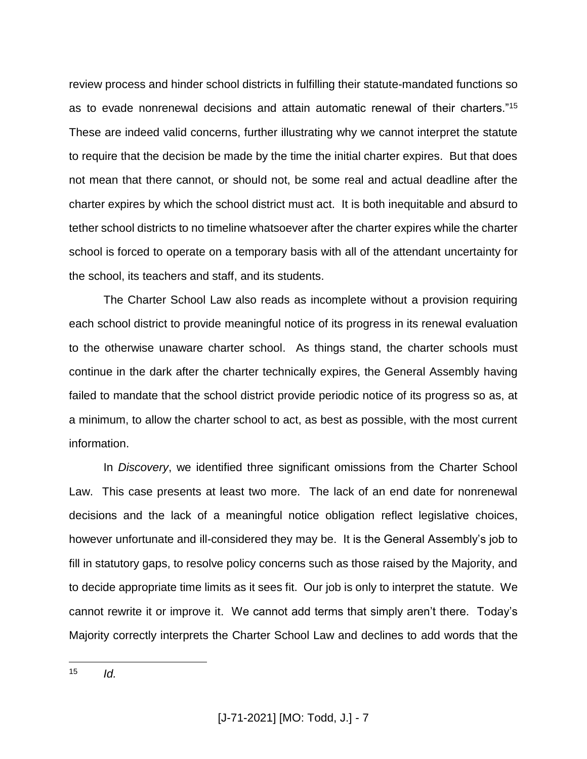review process and hinder school districts in fulfilling their statute-mandated functions so as to evade nonrenewal decisions and attain automatic renewal of their charters."<sup>15</sup> These are indeed valid concerns, further illustrating why we cannot interpret the statute to require that the decision be made by the time the initial charter expires. But that does not mean that there cannot, or should not, be some real and actual deadline after the charter expires by which the school district must act. It is both inequitable and absurd to tether school districts to no timeline whatsoever after the charter expires while the charter school is forced to operate on a temporary basis with all of the attendant uncertainty for the school, its teachers and staff, and its students.

The Charter School Law also reads as incomplete without a provision requiring each school district to provide meaningful notice of its progress in its renewal evaluation to the otherwise unaware charter school. As things stand, the charter schools must continue in the dark after the charter technically expires, the General Assembly having failed to mandate that the school district provide periodic notice of its progress so as, at a minimum, to allow the charter school to act, as best as possible, with the most current information.

In *Discovery*, we identified three significant omissions from the Charter School Law. This case presents at least two more. The lack of an end date for nonrenewal decisions and the lack of a meaningful notice obligation reflect legislative choices, however unfortunate and ill-considered they may be. It is the General Assembly's job to fill in statutory gaps, to resolve policy concerns such as those raised by the Majority, and to decide appropriate time limits as it sees fit. Our job is only to interpret the statute. We cannot rewrite it or improve it. We cannot add terms that simply aren't there. Today's Majority correctly interprets the Charter School Law and declines to add words that the

<sup>15</sup> <sup>15</sup> *Id.*